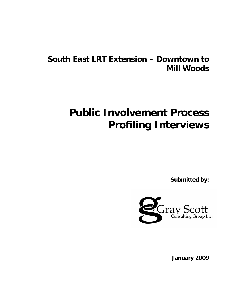# **South East LRT Extension – Downtown to Mill Woods**

# **Public Involvement Process Profiling Interviews**

**Submitted by:** 



**January 2009**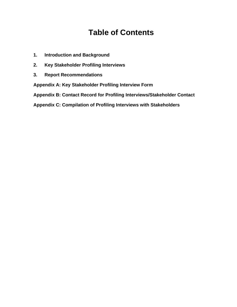# **Table of Contents**

- **1. Introduction and Background**
- **2. Key Stakeholder Profiling Interviews**
- **3. Report Recommendations**

**Appendix A: Key Stakeholder Profiling Interview Form**

**Appendix B: Contact Record for Profiling Interviews/Stakeholder Contact**

**Appendix C: Compilation of Profiling Interviews with Stakeholders**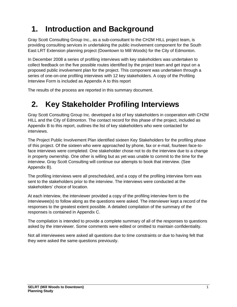# **1. Introduction and Background**

Gray Scott Consulting Group Inc., as a sub-consultant to the CH2M HILL project team, is providing consulting services in undertaking the public involvement component for the South East LRT Extension planning project (Downtown to Mill Woods) for the City of Edmonton.

In December 2008 a series of profiling interviews with key stakeholders was undertaken to collect feedback on the five possible routes identified by the project team and get input on a proposed public involvement plan for the project. This component was undertaken through a series of one-on-one profiling interviews with 12 key stakeholders. A copy of the Profiling Interview Form is included as Appendix A to this report

The results of the process are reported in this summary document.

# **2. Key Stakeholder Profiling Interviews**

Gray Scott Consulting Group Inc. developed a list of key stakeholders in cooperation with CH2M HILL and the City of Edmonton. The contact record for this phase of the project, included as Appendix B to this report, outlines the list of key stakeholders who were contacted for interviews.

The Project Public Involvement Plan identified sixteen Key Stakeholders for the profiling phase of this project. Of the sixteen who were approached by phone, fax or e-mail, fourteen face-toface interviews were completed. One stakeholder chose not to do the interview due to a change in property ownership. One other is willing but as yet was unable to commit to the time for the interview. Gray Scott Consulting will continue our attempts to book that interview. (See Appendix B).

The profiling interviews were all prescheduled, and a copy of the profiling interview form was sent to the stakeholders prior to the interview. The interviews were conducted at the stakeholders' choice of location.

At each interview, the interviewer provided a copy of the profiling interview form to the interviewee(s) to follow along as the questions were asked. The interviewer kept a record of the responses to the greatest extent possible. A detailed compilation of the summary of the responses is contained in Appendix C.

The compilation is intended to provide a complete summary of all of the responses to questions asked by the interviewer. Some comments were edited or omitted to maintain confidentiality.

Not all interviewees were asked all questions due to time constraints or due to having felt that they were asked the same questions previously.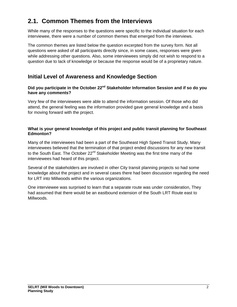# **2.1. Common Themes from the Interviews**

While many of the responses to the questions were specific to the individual situation for each interviewee, there were a number of common themes that emerged from the interviews.

The common themes are listed below the question excerpted from the survey form. Not all questions were asked of all participants directly since, in some cases, responses were given while addressing other questions. Also, some interviewees simply did not wish to respond to a question due to lack of knowledge or because the response would be of a proprietary nature.

# **Initial Level of Awareness and Knowledge Section**

### Did you participate in the October 22<sup>nd</sup> Stakeholder Information Session and if so do you **have any comments?**

Very few of the interviewees were able to attend the information session. Of those who did attend, the general feeling was the information provided gave general knowledge and a basis for moving forward with the project.

### **What is your general knowledge of this project and public transit planning for Southeast Edmonton?**

Many of the interviewees had been a part of the Southeast High Speed Transit Study. Many interviewees believed that the termination of that project ended discussions for any new transit to the South East. The October 22<sup>nd</sup> Stakeholder Meeting was the first time many of the interviewees had heard of this project.

Several of the stakeholders are involved in other City transit planning projects so had some knowledge about the project and in several cases there had been discussion regarding the need for LRT into Millwoods within the various organizations.

One interviewee was surprised to learn that a separate route was under consideration, They had assumed that there would be an eastbound extension of the South LRT Route east to Millwoods.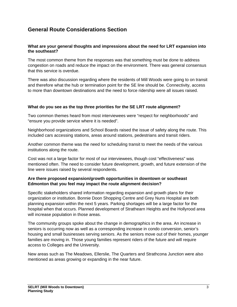# **General Route Considerations Section**

### **What are your general thoughts and impressions about the need for LRT expansion into the southeast?**

The most common theme from the responses was that something must be done to address congestion on roads and reduce the impact on the environment. There was general consensus that this service is overdue.

There was also discussion regarding where the residents of Mill Woods were going to on transit and therefore what the hub or termination point for the SE line should be. Connectivity, access to more than downtown destinations and the need to force ridership were all issues raised.

### **What do you see as the top three priorities for the SE LRT route alignment?**

Two common themes heard from most interviewees were "respect for neighborhoods" and "ensure you provide service where it is needed".

Neighborhood organizations and School Boards raised the issue of safety along the route. This included cars accessing stations, areas around stations, pedestrians and transit riders.

Another common theme was the need for scheduling transit to meet the needs of the various institutions along the route.

Cost was not a large factor for most of our interviewees, though cost "effectiveness" was mentioned often. The need to consider future development, growth, and future extension of the line were issues raised by several respondents.

### **Are there proposed expansion/growth opportunities in downtown or southeast Edmonton that you feel may impact the route alignment decision?**

Specific stakeholders shared information regarding expansion and growth plans for their organization or institution. Bonnie Doon Shopping Centre and Grey Nuns Hospital are both planning expansion within the next 5 years. Parking shortages will be a large factor for the hospital when that occurs. Planned development of Strathearn Heights and the Hollyrood area will increase population in those areas.

The community groups spoke about the change in demographics in the area. An increase in seniors is occurring now as well as a corresponding increase in condo conversion, senior's housing and small businesses serving seniors. As the seniors move out of their homes, younger families are moving in. Those young families represent riders of the future and will require access to Colleges and the University.

New areas such as The Meadows, Ellerslie, The Quarters and Strathcona Junction were also mentioned as areas growing or expanding in the near future.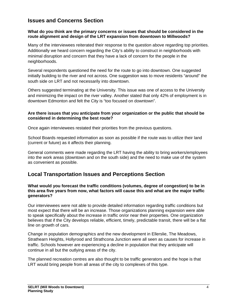# **Issues and Concerns Section**

#### **What do you think are the primary concerns or issues that should be considered in the route alignment and design of the LRT expansion from downtown to Millwoods?**

Many of the interviewees reiterated their response to the question above regarding top priorities. Additionally we heard concern regarding the City's ability to construct in neighborhoods with minimal disruption and concern that they have a lack of concern for the people in the neighborhoods.

Several respondents questioned the need for the route to go into downtown. One suggested initially building to the river and not across. One suggestion was to move residents "around" the south side on LRT and not necessarily into downtown.

Others suggested terminating at the University. This issue was one of access to the University and minimizing the impact on the river valley. Another stated that only 42% of employment is in downtown Edmonton and felt the City is "too focused on downtown".

#### **Are there issues that you anticipate from your organization or the public that should be considered in determining the best route?**

Once again interviewees restated their priorities from the previous questions.

School Boards requested information as soon as possible if the route was to utilize their land (current or future) as it affects their planning.

General comments were made regarding the LRT having the ability to bring workers/employees into the work areas (downtown and on the south side) and the need to make use of the system as convenient as possible.

# **Local Transportation Issues and Perceptions Section**

#### **What would you forecast the traffic conditions (volumes, degree of congestion) to be in this area five years from now, what factors will cause this and what are the major traffic generators?**

Our interviewees were not able to provide detailed information regarding traffic conditions but most expect that there will be an increase. Those organizations planning expansion were able to speak specifically about the increase in traffic on/or near their properties. One organization believes that if the City develops reliable, efficient, timely, predictable transit, there will be a flat line on growth of cars.

Change in population demographics and the new development in Ellerslie, The Meadows, Strathearn Heights, Hollyrood and Strathcona Junction were all seen as causes for increase in traffic. Schools however are experiencing a decline in population that they anticipate will continue in all but the outlying areas of the city.

The planned recreation centres are also thought to be traffic generators and the hope is that LRT would bring people from all areas of the city to complexes of this type.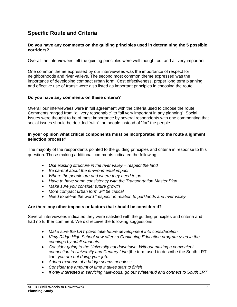# **Specific Route and Criteria**

#### **Do you have any comments on the guiding principles used in determining the 5 possible corridors?**

Overall the interviewees felt the guiding principles were well thought out and all very important.

One common theme expressed by our interviewees was the importance of respect for neighborhoods and river valleys. The second most common theme expressed was the importance of developing compact urban form. Cost effectiveness, proper long term planning and effective use of transit were also listed as important principles in choosing the route.

#### **Do you have any comments on these criteria?**

Overall our interviewees were in full agreement with the criteria used to choose the route. Comments ranged from "all very reasonable" to "all very important in any planning". Social Issues were thought to be of most importance by several respondents with one commenting that social issues should be decided "with" the people instead of "for" the people.

#### **In your opinion what critical components must be incorporated into the route alignment selection process?**

The majority of the respondents pointed to the guiding principles and criteria in response to this question. Those making additional comments indicated the following:

- *Use existing structure in the river valley respect the land*
- *Be careful about the environmental impact*
- *Where the people are and where they need to go*
- *Have to have some consistency with the Transportation Master Plan*
- *Make sure you consider future growth*
- *More compact urban form will be critical*
- *Need to define the word "respect" in relation to parklands and river valley*

#### **Are there any other impacts or factors that should be considered?**

Several interviewees indicated they were satisfied with the guiding principles and criteria and had no further comment. We did receive the following suggestions:

- *Make sure the LRT plans take future development into consideration*
- *Vimy Ridge High School now offers a Continuing Education program used in the evenings by adult students.*
- *Consider going to the University not downtown. Without making a convenient connection to University and Century Line* [the term used to describe the South LRT line] *you are not doing your job.*
- *Added expense of a bridge seems needless*
- *Consider the amount of time it takes start to finish*
- *If only interested in servicing Millwoods, go out Whitemud and connect to South LRT*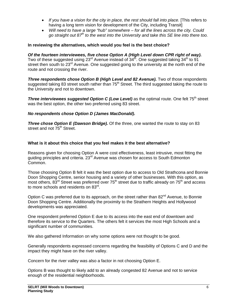- If you have a vision for the city in place, the rest should fall into place. [This refers to having a long term vision for development of the City, including Transit]
- *Will need to have a large "hub" somewhere for all the lines across the city. Could go straight out 87th to the west into the University and take this SE line into there too.*

### **In reviewing the alternatives, which would you feel is the best choice?**

*Of the fourteen interviewees, five chose Option A (High Level down CPR right of way).*  Two of these suggested using 23<sup>rd</sup> Avenue instead of 34<sup>th</sup>. One suggested taking 34<sup>th</sup> to 91 street then south to 23<sup>rd</sup> Avenue. One suggested going to the university at the north end of the route and not crossing the river.

**Three respondents chose Option B (High Level and 82 Avenue).** Two of those respondents suggested taking 83 street south rather than 75<sup>th</sup> Street. The third suggested taking the route to the University and not to downtown.

**Three interviewees suggested Option C (Low Level)** as the optimal route. One felt 75<sup>th</sup> street was the best option, the other two preferred using 83 street.

### *No respondents chose Option D (James MacDonald).*

*Three chose Option E (Dawson Bridge).* Of the three, one wanted the route to stay on 83 street and not 75<sup>th</sup> Street.

### **What is it about this choice that you feel makes it the best alternative?**

Reasons given for choosing Option A were cost effectiveness, least intrusive, most fitting the guiding principles and criteria. 23rd Avenue was chosen for access to South Edmonton Common.

Those choosing Option B felt it was the best option due to access to Old Strathcona and Bonnie Doon Shopping Centre, senior housing and a variety of other businesses. With this option, as most others, 83<sup>rd</sup> Street was preferred over 75<sup>th</sup> street due to traffic already on 75<sup>th</sup> and access to more schools and residents on 83<sup>rd</sup>.

Option C was preferred due to its approach, on the street rather than 82<sup>nd</sup> Avenue, to Bonnie Doon Shopping Centre. Additionally the proximity to the Strathern Heights and Hollywood developments was appreciated.

One respondent preferred Option E due to its access into the east end of downtown and therefore its service to the Quarters. The others felt it services the most High Schools and a significant number of communities.

We also gathered Information on why some options were not thought to be good.

Generally respondents expressed concerns regarding the feasibility of Options C and D and the impact they might have on the river valley.

Concern for the river valley was also a factor in not choosing Option E.

Options B was thought to likely add to an already congested 82 Avenue and not to service enough of the residential neighborhoods.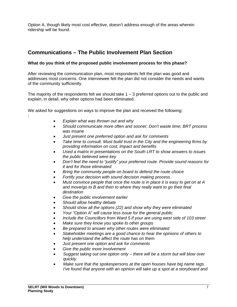Option A, though likely most cost effective, doesn't address enough of the areas wherein ridership will be found.

# **Communications – The Public Involvement Plan Section**

### **What do you think of the proposed public involvement process for this phase?**

After reviewing the communication plan, most respondents felt the plan was good and addresses most concerns. One interviewee felt the plan did not consider the needs and wants of the community sufficiently.

The majority of the respondents felt we should take  $1 - 3$  preferred options out to the public and explain, in detail, why other options had been eliminated.

We asked for suggestions on ways to improve the plan and received the following: :

- *Explain what was thrown out and why*
- *Should communicate more often and sooner; Don't waste time; BRT process was insane*
- *Just present one preferred option and ask for comments*
- *Take time to consult. Must build trust in the City and the engineering firms by providing information on cost, impact and benefits*
- *Used a matrix in presentations on the South LRT to show answers to issues the public believed were key*
- *Don't feel the need to "justify" your preferred route. Provide sound reasons for it and for those eliminated*
- *Bring the community people on board to defend the route choice*
- *Fortify your decision with sound decision making process*
- *Must convince people that once the route is in place it is easy to get on at A and move/go to B and then to where they really want to go their final destination*
- *Give the public involvement earlier*
- *Should allow healthy debate*
- *Should show all the options (22) and show why they were eliminated*
- *Your "Option A" will cause less issue for the general public*
- *Include the Councillors from Ward 5 if your are using west side of 103 street*
- *Make sure they know you spoke to other groups*
- *Be prepared to answer why other routes were eliminated*
- *Stakeholder meetings are a good chance to hear the opinions of others to help understand the affect the route has on them*
- *Just present one option and ask for comments*
- *Give the public more involvement*
- *Suggest taking out one option only there will be a storm but will blow over quickly.*
- *Make sure that the spokespersons at the open houses have big name tags. I've found that anyone with an opinion will take up a spot at a storyboard and*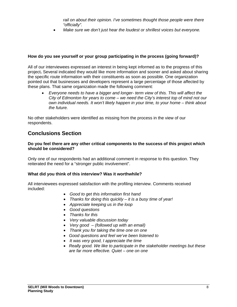rail on about their opinion. I've sometimes thought those people were there *"officially".* 

*Make sure we don't just hear the loudest or shrillest voices but everyone.* 

### **How do you see yourself or your group participating in the process (going forward)?**

All of our interviewees expressed an interest in being kept informed as to the progress of this project**.** Several indicated they would like more information and sooner and asked about sharing the specific route information with their constituents as soon as possible. One organization pointed out that businesses and developers represent a large percentage of those affected by these plans. That same organization made the following comment:

 *Everyone needs to have a bigger and longer- term view of this. This will affect the City of Edmonton for years to come – we need the City's interest top of mind not our own individual needs. It won't likely happen in your time, to your home – think about the future.*

No other stakeholders were identified as missing from the process in the view of our respondents.

# **Conclusions Section**

#### **Do you feel there are any other critical components to the success of this project which should be considered?**

Only one of our respondents had an additional comment in response to this question. They reiterated the need for a "stronger public involvement".

### **What did you think of this interview? Was it worthwhile?**

All interviewees expressed satisfaction with the profiling interview. Comments received included:

- *Good to get this information first hand*
- *Thanks for doing this quickly it is a busy time of year!*
- *Appreciate keeping us in the loop*
- *Good questions*
- *Thanks for this*
- *Very valuable discussion today*
- *Very good (followed up with an email)*
- *Thank you for taking the time one on one*
- *Good questions and feel we've been listened to*
- *It was very good, I appreciate the time*
- *Really good. We like to participate in the stakeholder meetings but these are far more effective. Quiet – one on one*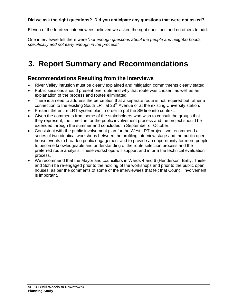### **Did we ask the right questions? Did you anticipate any questions that were not asked?**

Eleven of the fourteen interviewees believed we asked the right questions and no others to add.

One interviewee felt there were *"not enough questions about the people and neighborhoods specifically and not early enough in the process"* 

# **3. Report Summary and Recommendations**

# **Recommendations Resulting from the Interviews**

- River Valley intrusion must be clearly explained and mitigation commitments clearly stated
- Public sessions should present one route and why that route was chosen, as well as an explanation of the process and routes eliminated
- There is a need to address the perception that a separate route is not required but rather a connection to the existing South LRT at 23<sup>rd</sup> Avenue or at the existing University station.
- Present the entire LRT system plan in order to put the SE line into context.
- Given the comments from some of the stakeholders who wish to consult the groups that they represent, the time line for the public involvement process and the project should be extended through the summer and concluded in September or October.
- Consistent with the public involvement plan for the West LRT project, we recommend a series of two identical workshops between the profiling interview stage and the public open house events to broaden public engagement and to provide an opporntunity for more people to become knowledgeable and understanding of the route selection process and the preferred route analysis. These workshops will support and inform the technical evaluation process.
- We recommend that the Mayor and councillors in Wards 4 and 6 (Henderson, Batty, Thiele and Sohi) be re-engaged prior to the holding of the workshops and prior to the public open houses, as per the comments of some of the interviewees that felt that Council involvement is important.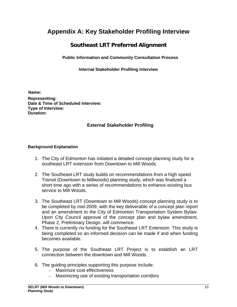# **Appendix A: Key Stakeholder Profiling Interview**

# **Southeast LRT Preferred Alignment**

**Public Information and Community Consultation Process** 

**Internal Stakeholder Profiling Interview** 

**Name: Representing: Date & Time of Scheduled Interview: Type of Interview: Duration:** 

# **External Stakeholder Profiling**

### **Background Explanation**

- 1. The City of Edmonton has initiated a detailed concept planning study for a southeast LRT extension from Downtown to Mill Woods.
- 2. The Southeast LRT study builds on recommendations from a high speed Transit (Downtown to Millwoods) planning study, which was finalized a short time ago with a series of recommendations to enhance existing bus service to Mill Woods.
- 3. The Southeast LRT (Downtown to Mill Woods) concept planning study is to be completed by mid-2009, with the key deliverable of a concept plan report and an amendment to the City of Edmonton Transportation System Bylaw. Upon City Council approval of the concept plan and bylaw amendment, Phase 2, Preliminary Design, will commence.
- 4. There is currently no funding for the Southeast LRT Extension. This study is being completed so an informed decision can be made if and when funding becomes available.
- 5. The purpose of the Southeast LRT Project is to establish an LRT connection between the downtown and Mill Woods.
- 6. The guiding principles supporting this purpose include:
	- Maximize cost effectiveness
	- Maximizing use of existing transportation corridors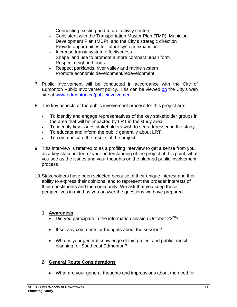- Connecting existing and future activity centers
- Consistent with the Transportation Master Plan (TMP), Municipal Development Plan (MDP), and the City's strategic direction
- Provide opportunities for future system expansion
- Increase transit system effectiveness
- Shape land use to promote a more compact urban form
- Respect neighborhoods
- Respect parklands, river valley and ravine system
- Promote economic development/redevelopment
- 7. Public Involvement will be conducted in accordance with the City of Edmonton Public Involvement policy. This can be viewed on the City's web site at www.edmonton.ca/publicinvolvement.
- 8. The key aspects of the public involvement process for this project are:
	- To identify and engage representatives of the key stakeholder groups in the area that will be impacted by LRT in the study area.
	- To identify key issues stakeholders wish to see addressed in the study.
	- To educate and inform the public generally about LRT
	- To communicate the results of the project.
- 9. This interview is referred to as a profiling interview to get a sense from you, as a key stakeholder, of your understanding of the project at this point, what you see as the issues and your thoughts on the planned public involvement process
- 10. Stakeholders have been selected because of their unique interest and their ability to express their opinions, and to represent the broader interests of their constituents and the community. We ask that you keep these perspectives in mind as you answer the questions we have prepared.

### **1. Awareness**

- Did you participate in the information session October  $22^{nd}$ ?
- If so, any comments or thoughts about the session?
- What is your general knowledge of this project and public transit planning for Southeast Edmonton?

### **2. General Route Considerations**

What are your general thoughts and impressions about the need for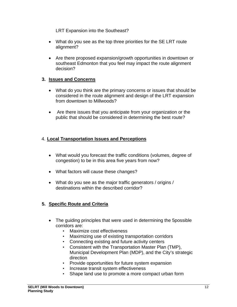LRT Expansion into the Southeast?

- What do you see as the top three priorities for the SE LRT route alignment?
- Are there proposed expansion/growth opportunities in downtown or southeast Edmonton that you feel may impact the route alignment decision?

### **3. Issues and Concerns**

- What do you think are the primary concerns or issues that should be considered in the route alignment and design of the LRT expansion from downtown to Millwoods?
- Are there issues that you anticipate from your organization or the public that should be considered in determining the best route?

# 4. **Local Transportation Issues and Perceptions**

- What would you forecast the traffic conditions (volumes, degree of congestion) to be in this area five years from now?
- What factors will cause these changes?
- What do you see as the major traffic generators / origins / destinations within the described corridor?

# **5. Specific Route and Criteria**

- The quiding principles that were used in determining the 5possible corridors are:
	- Maximize cost effectiveness
	- Maximizing use of existing transportation corridors
	- Connecting existing and future activity centers
	- Consistent with the Transportation Master Plan (TMP), Municipal Development Plan (MDP), and the City's strategic direction
	- Provide opportunities for future system expansion
	- Increase transit system effectiveness
	- Shape land use to promote a more compact urban form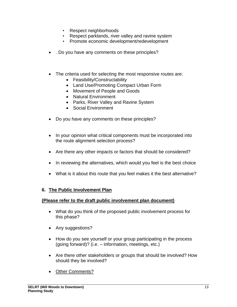- Respect neighborhoods
- Respect parklands, river valley and ravine system
- Promote economic development/redevelopment
- . Do you have any comments on these principles?
- The criteria used for selecting the most responsive routes are:
	- Feasibility/Constructability
	- Land Use/Promoting Compact Urban Form
	- Movement of People and Goods
	- Natural Environment
	- Parks, River Valley and Ravine System
	- Social Environment
- Do you have any comments on these principles?
- In your opinion what critical components must be incorporated into the route alignment selection process?
- Are there any other impacts or factors that should be considered?
- In reviewing the alternatives, which would you feel is the best choice
- What is it about this route that you feel makes it the best alternative?

# **6. The Public Involvement Plan**

### **(Please refer to the draft public involvement plan document)**

- What do you think of the proposed public involvement process for this phase?
- Any suggestions?
- How do you see yourself or your group participating in the process (going forward)? (i.e. – information, meetings, etc.)
- Are there other stakeholders or groups that should be involved? How should they be involved?
- Other Comments?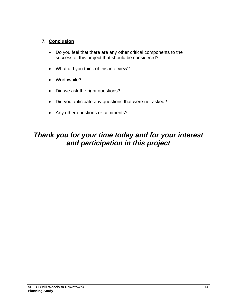# **7. Conclusion**

- Do you feel that there are any other critical components to the success of this project that should be considered?
- What did you think of this interview?
- Worthwhile?
- Did we ask the right questions?
- Did you anticipate any questions that were not asked?
- Any other questions or comments?

# *Thank you for your time today and for your interest and participation in this project*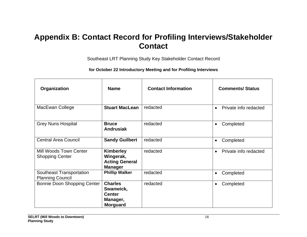# **Appendix B: Contact Record for Profiling Interviews/Stakeholder Contact**

Southeast LRT Planning Study Key Stakeholder Contact Record

**for October 22 Introductory Meeting and for Profiling Interviews** 

| Organization                                        | <b>Name</b>                                                                 | <b>Contact Information</b> | <b>Comments/Status</b>             |
|-----------------------------------------------------|-----------------------------------------------------------------------------|----------------------------|------------------------------------|
| MacEwan College                                     | <b>Stuart MacLean</b>                                                       | redacted                   | Private info redacted<br>$\bullet$ |
| <b>Grey Nuns Hospital</b>                           | <b>Bruce</b><br><b>Andrusiak</b>                                            | redacted                   | Completed<br>$\bullet$             |
| <b>Central Area Council</b>                         | <b>Sandy Guilbert</b>                                                       | redacted                   | Completed<br>$\bullet$             |
| Mill Woods Town Center<br><b>Shopping Center</b>    | <b>Kimberley</b><br>Wingerak,<br><b>Acting General</b><br><b>Manager</b>    | redacted                   | Private info redacted<br>$\bullet$ |
| Southeast Transportation<br><b>Planning Council</b> | <b>Phillip Walker</b>                                                       | redacted                   | Completed<br>$\bullet$             |
| Bonnie Doon Shopping Center                         | <b>Charles</b><br>Swanwick,<br><b>Center</b><br>Manager,<br><b>Morguard</b> | redacted                   | Completed<br>$\bullet$             |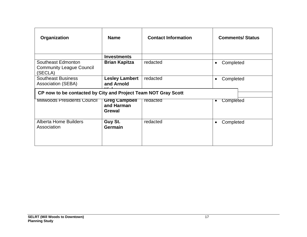| Organization                                                     | <b>Name</b>                                         | <b>Contact Information</b> | <b>Comments/Status</b> |  |  |
|------------------------------------------------------------------|-----------------------------------------------------|----------------------------|------------------------|--|--|
|                                                                  | <b>Investments</b>                                  |                            |                        |  |  |
| Southeast Edmonton<br><b>Community League Council</b><br>(SECLA) | <b>Brian Kapitza</b>                                | redacted                   | Completed<br>$\bullet$ |  |  |
| <b>Southeast Business</b><br><b>Association (SEBA)</b>           | <b>Lesley Lambert</b><br>and Arnold                 | redacted                   | Completed<br>$\bullet$ |  |  |
| CP now to be contacted by City and Project Team NOT Gray Scott   |                                                     |                            |                        |  |  |
| <b>Millwoods Presidents Council</b>                              | <b>Greg Campbell</b><br>and Harman<br><b>Grewal</b> | redacted                   | Completed<br>$\bullet$ |  |  |
| Alberta Home Builders<br>Association                             | Guy St.<br>Germain                                  | redacted                   | Completed<br>$\bullet$ |  |  |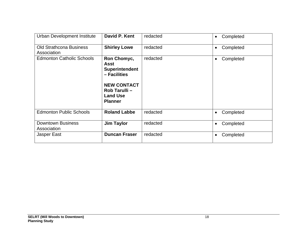| Urban Development Institute                   | David P. Kent                                                                                                                                   | redacted | Completed<br>$\bullet$ |
|-----------------------------------------------|-------------------------------------------------------------------------------------------------------------------------------------------------|----------|------------------------|
| <b>Old Strathcona Business</b><br>Association | <b>Shirley Lowe</b>                                                                                                                             | redacted | Completed<br>$\bullet$ |
| <b>Edmonton Catholic Schools</b>              | Ron Chomyc,<br><b>Asst</b><br><b>Superintendent</b><br>- Facilities<br><b>NEW CONTACT</b><br>Rob Tarulli -<br><b>Land Use</b><br><b>Planner</b> | redacted | Completed<br>$\bullet$ |
| <b>Edmonton Public Schools</b>                | <b>Roland Labbe</b>                                                                                                                             | redacted | Completed<br>$\bullet$ |
| <b>Downtown Business</b><br>Association       | <b>Jim Taylor</b>                                                                                                                               | redacted | Completed<br>$\bullet$ |
| Jasper East                                   | <b>Duncan Fraser</b>                                                                                                                            | redacted | Completed<br>$\bullet$ |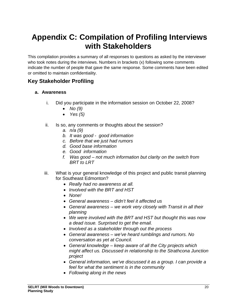# **Appendix C: Compilation of Profiling Interviews with Stakeholders**

This compilation provides a summary of all responses to questions as asked by the interviewer who took notes during the interviews. Numbers in brackets (x) following some comments indicate the number of people that gave the same response. Some comments have been edited or omitted to maintain confidentiality.

# **Key Stakeholder Profiling**

### **a. Awareness**

- i. Did you participate in the information session on October 22, 2008?
	- *No (9)*
	- *Yes (5)*
- ii. Is so, any comments or thoughts about the session?
	- *a. n/a (9)*
	- *b. It was good good information*
	- *c. Before that we just had rumors*
	- *d. Good base information*
	- *e. Good information*
	- *f. Was good not much information but clarity on the switch from BRT to LRT*
- iii. What is your general knowledge of this project and public transit planning for Southeast Edmonton?
	- *Really had no awareness at all.*
	- *Involved with the BRT and HST*
	- *None!*
	- *General awareness didn't feel it affected us*
	- *General awareness we work very closely with Transit in all their planning*
	- *We were involved with the BRT and HST but thought this was now a dead issue. Surprised to get the email.*
	- *Involved as a stakeholder through out the process*
	- *General awareness we've heard rumblings and rumors. No conversation as yet at Council.*
	- *General knowledge keep aware of all the City projects which might affect us. Discussed in relationship to the Strathcona Junction project*
	- *General information, we've discussed it as a group. I can provide a feel for what the sentiment is in the community*
	- *Following along in the news*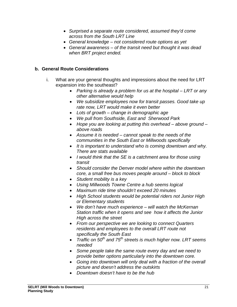- *Surprised a separate route considered, assumed they'd come across from the South LRT Line*
- *General knowledge not considered route options as yet*
- *General awareness of the transit need but thought it was dead when BRT project ended.*

### **b. General Route Considerations**

- i. What are your general thoughts and impressions about the need for LRT expansion into the southeast?
	- *Parking is already a problem for us at the hospital LRT or any other alternative would help*
	- *We subsidize employees now for transit passes. Good take up rate now, LRT would make it even better*
	- *Lots of growth change in demographic age*
	- *We pull from Southside, East and Sherwood Park*
	- *Hope you are looking at putting this overhead above ground above roads*
	- *Assume it is needed cannot speak to the needs of the communities in the South East or Millwoods specifically*
	- *It is important to understand who is coming downtown and why. There are stats available*
	- *I would think that the SE is a catchment area for those using transit*
	- *Should consider the Denver model where within the downtown core, a small free bus moves people around – block to block*
	- *Student mobility is a key*
	- *Using Millwoods Towne Centre a hub seems logical*
	- *Maximum ride time shouldn't exceed 20 minutes*
	- *High School students would be potential riders not Junior High or Elementary students*
	- *We don't have much experience will watch the McKernan Station traffic when it opens and see how it affects the Junior High across the street*
	- *From our perspective we are looking to connect Quarters residents and employees to the overall LRT route not specifically the South East*
	- *Traffic on 50th and 75th streets is much higher now. LRT seems needed*
	- *Some people take the same route every day and we need to provide better options particularly into the downtown core.*
	- *Going into downtown will only deal with a fraction of the overall picture and doesn't address the outskirts*
	- *Downtown doesn't have to be the hub*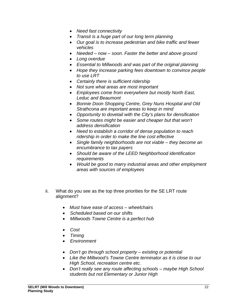- *Need fast connectivity*
- *Transit is a huge part of our long term planning*
- *Our goal is to increase pedestrian and bike traffic and fewer vehicles*
- *Needed now soon. Faster the better and above ground*
- *Long overdue*
- *Essential to Millwoods and was part of the original planning*
- *Hope they increase parking fees downtown to convince people to use LRT*
- *Certainly there is sufficient ridership*
- *Not sure what areas are most important*
- *Employees come from everywhere but mostly North East, Leduc and Beaumont*
- *Bonnie Doon Shopping Centre, Grey Nuns Hospital and Old Strathcona are important areas to keep in mind*
- *Opportunity to dovetail with the City's plans for densification*
- *Some routes might be easier and cheaper but that won't address densification*
- *Need to establish a corridor of dense population to reach ridership in order to make the line cost effective*
- *Single family neighborhoods are not viable they become an encumbrance to tax payers*
- *Should be aware of the LEED Neighborhood identification requirements*
- *Would be good to marry industrial areas and other employment areas with sources of employees*
- ii. What do you see as the top three priorities for the SE LRT route alignment?
	- *Must have ease of access wheelchairs*
	- *Scheduled based on our shifts*
	- *Millwoods Towne Centre is a perfect hub*
	- *Cost*
	- *Timing*
	- *Environment*
	- *Don't go through school property existing or potential*
	- *Like the Millwood's Towne Centre terminator as it is close to our High School, recreation centre etc.*
	- *Don't really see any route affecting schools maybe High School students but not Elementary or Junior High*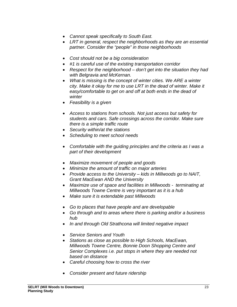- *Cannot speak specifically to South East.*
- *LRT in general, respect the neighborhoods as they are an essential partner. Consider the "people" in those neighborhoods*
- *Cost should not be a big consideration*
- *#1 is careful use of the existing transportation corridor*
- *Respect for the neighborhood don't get into the situation they had with Belgravia and McKernan.*
- *What is missing is the concept of winter cities. We ARE a winter city. Make it okay for me to use LRT in the dead of winter. Make it easy/comfortable to get on and off at both ends in the dead of winter*
- *Feasibility is a given*
- *Access to stations from schools. Not just access but safety for students and cars. Safe crossings across the corridor. Make sure there is a simple traffic route*
- *Security within/at the stations*
- *Scheduling to meet school needs*
- *Comfortable with the guiding principles and the criteria as I was a part of their development*
- *Maximize movement of people and goods*
- *Minimize the amount of traffic on major arteries*
- *Provide access to the University kids in Millwoods go to NAIT, Grant MacEwan AND the University*
- *Maximize use of space and facilities in Millwoods terminating at Millwoods Towne Centre is very important as it is a hub*
- *Make sure it is extendable past Millwoods*
- *Go to places that have people and are developable*
- *Go through and to areas where there is parking and/or a business hub*
- *In and through Old Strathcona will limited negative impact*
- *Service Seniors and Youth*
- *Stations as close as possible to High Schools, MacEwan, Millwoods Towne Centre, Bonnie Doon Shopping Centre and Senior Complexes i.e. put stops in where they are needed not based on distance*
- *Careful choosing how to cross the river*
- *Consider present and future ridership*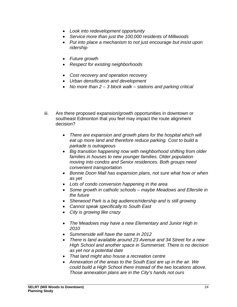- *Look into redevelopment opportunity*
- *Service more than just the 100,000 residents of Millwoods*
- *Put into place a mechanism to not just encourage but insist upon ridership*
- *Future growth*
- *Respect for existing neighborhoods*
- *Cost recovery and operation recovery*
- *Urban densification and development*
- *No more than 2 3 block walk stations and parking critical*
- iii. Are there proposed expansion/growth opportunities in downtown or southeast Edmonton that you feel may impact the route alignment decision?
	- *There are expansion and growth plans for the hospital which will eat up more land and therefore reduce parking. Cost to build a parkade is outrageous*
	- *Big transition happening now with neighborhood shifting from older families in houses to new younger families. Older population moving into condos and Senior residences. Both groups need convenient transportation*
	- *Bonnie Doon Mall has expansion plans, not sure what how or when as yet*
	- *Lots of condo conversion happening in the area*
	- *Some growth in catholic schools maybe Meadows and Ellerslie in the future*
	- *Sherwood Park is a big audience/ridership and is still growing*
	- *Cannot speak specifically to South East*
	- *City is growing like crazy*
	- *The Meadows may have a new Elementary and Junior High in 2010*
	- *Summerside will have the same in 2012*
	- *There is land available around 23 Avenue and 34 Street for a new High School and another space in Summerset. There is no decision as yet nor a potential date*
	- *That land might also house a recreation centre*
	- *Annexation of the areas to the South East are up in the air. We could build a High School there instead of the two locations above. Those annexation plans are in the City's hands not ours*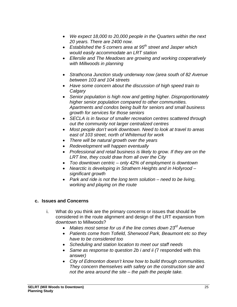- *We expect 18,000 to 20,000 people in the Quarters within the next 20 years. There are 2400 now.*
- *Established the 5 corners area at 95th street and Jasper which would easily accommodate an LRT station*
- *Ellerslie and The Meadows are growing and working cooperatively with Millwoods in planning*
- *Strathcona Junction study underway now (area south of 82 Avenue between 103 and 104 streets*
- *Have some concern about the discussion of high speed train to Calgary*
- *Senior population is high now and getting higher. Disproportionately higher senior population compared to other communities. Apartments and condos being built for seniors and small business growth for services for those seniors*
- *SECLA is in favour of smaller recreation centres scattered through out the community not larger centralized centres*
- *Most people don't work downtown. Need to look at travel to areas east of 103 street, north of Whitemud for work*
- *There will be natural growth over the years*
- *Redevelopment will happen eventually*
- *Professional and retail business is likely to grow. If they are on the LRT line, they could draw from all over the City*
- *Too downtown centric only 42% of employment is downtown*
- *Nearctic is developing in Strathern Heights and in Hollyrood significant growth*
- *Park and ride is not the long term solution need to be living, working and playing on the route*

### **c. Issues and Concerns**

- i. What do you think are the primary concerns or issues that should be considered in the route alignment and design of the LRT expansion from downtown to Millwoods?
	- *Makes most sense for us if the line comes down 23rd Avenue*
	- *Patients come from Tofield, Sherwood Park, Beaumont etc so they have to be considered too*
	- *Scheduling and station location to meet our staff needs*
	- *Same as response to question 2b i and ii (*7 responded with this answer*)*
	- *City of Edmonton doesn't know how to build through communities. They concern themselves with safety on the construction site and not the area around the site – the path the people take.*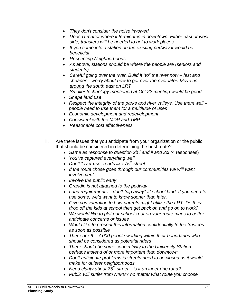- *They don't consider the noise involved*
- *Doesn't matter where it terminates in downtown. Either east or west side, transfers will be needed to get to work places.*
- *If you come into a station on the existing pedway it would be beneficial*
- *Respecting Neighborhoods*
- *As above, stations should be where the people are (seniors and students)*
- *Careful going over the river. Build it "to" the river now fast and cheaper – worry about how to get over the river later. Move us around the south east on LRT*
- *Smaller technology mentioned at Oct 22 meeting would be good*
- *Shape land use*
- *Respect the integrity of the parks and river valleys. Use them well people need to use them for a multitude of uses*
- *Economic development and redevelopment*
- *Consistent with the MDP and TMP*
- *Reasonable cost effectiveness*
- ii. Are there issues that you anticipate from your organization or the public that should be considered in determining the best route?
	- *Same as response to question 2b i and ii and 2ci (*4 responses)
	- *You've captured everything well*
	- *Don't "over use" roads like 75th street*
	- *If the route chose goes through our communities we will want involvement*
	- *Involve the public early*
	- *Grandin is not attached to the pedway*
	- *Land requirements don't "nip away" at school land. If you need to use some, we'd want to know sooner than later.*
	- *Give consideration to how parents might utilize the LRT. Do they drop off the kids at school then get back on and go on to work?*
	- *We would like to plot our schools out on your route maps to better anticipate concerns or issues*
	- *Would like to present this information confidentially to the trustees as soon as possible*
	- *There are 6 7,000 people working within their boundaries who should be considered as potential riders*
	- *There should be some connectivity to the University Station perhaps instead of or more important than downtown*
	- *Don't anticipate problems is streets need to be closed as it would make for quieter neighborhoods*
	- *Need clarity about 75th street is it an inner ring road?*
	- *Public will suffer from NIMBY no matter what route you choose*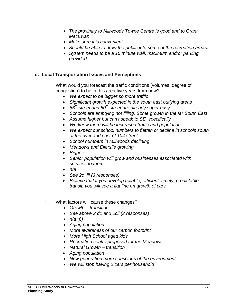- *The proximity to Millwoods Towne Centre is good and to Grant MacEwan*
- *Make sure it is convenient*
- *Should be able to draw the public into some of the recreation areas.*
- *System needs to be a 10 minute walk maximum and/or parking provided*

### **d. Local Transportation Issues and Perceptions**

- i. What would you forecast the traffic conditions (volumes, degree of congestion) to be in this area five years from now?
	- *We expect to be bigger so more traffic*
	- *Significant growth expected in the south east outlying areas*
	- 66<sup>th</sup> street and 50<sup>th</sup> street are already super busy
	- *Schools are emptying not filling. Some growth in the far South East*
	- *Assume higher but can't speak to SE specifically*
	- *We know there will be increased traffic and population*
	- *We expect our school numbers to flatten or decline in schools south of the river and east of 104 street*
	- *School numbers in Millwoods declining*
	- *Meadows and Ellerslie growing*
	- *Bigger!*
	- *Senior population will grow and businesses associated with services to them*
	- *n/a*
	- *See 2c iii (3 responses)*
	- *Believe that if you develop reliable, efficient, timely, predictable transit, you will see a flat line on growth of cars*

### ii. What factors will cause these changes?

- *Growth transition*
- *See above 2 d1 and 2cii (2 responses)*
- *n/a (6)*
- *Aging population*
- *More awareness of our carbon footprint*
- *More High School aged kids*
- *Recreation centre proposed for the Meadows*
- *Natural Growth transition*
- *Aging population*
- *New generation more conscious of the environment*
- *We will stop having 2 cars per household*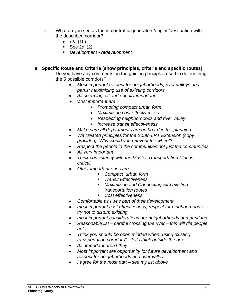- iii. What do you see as the major traffic generators/origins/destination with the described corridor?
	- $n/a(10)$
	- See 2di  $(2)$
	- *Development redevelopment*

# **e. Specific Route and Criteria (show principles, criteria and specific routes)**

- i. Do you have any comments on the guiding principles used in determining the 5 possible corridors?
	- *Most important respect for neighborhoods, river valleys and parks; maximizing use of existing corridors.*
	- *All seem logical and equally important*
	- *Most important are* 
		- *Promoting compact urban form*
		- *Maximizing cost effectiveness*
		- *Respecting neighborhoods and river valley*
		- *Increase transit effectiveness*
	- *Make sure all departments are on board in the planning*
	- *We created principles for the South LRT Extension (copy provided). Why would you reinvent the wheel?*
	- *Respect the people in the communities not just the communities*
	- *All very important*
	- *Think consistency with the Master Transportation Plan is critical.*
	- *Other important ones are* 
		- *Compact urban form*
		- *Transit Effectiveness*
		- *Maximizing and Connecting with existing transportation routes*
		- *Cost effectiveness*
	- *Comfortable as I was part of their development*
	- *most important cost effectiveness, respect for neighborhoods try not to disturb existing*
	- *most important considerations are neighborhoods and parkland*
	- *Reasonable list careful crossing the river this will rile people up!*
	- *Think you should be open minded when "using existing transportation corridors" – let's think outside the box*
	- *All important aren't they*
	- *Most important are opportunity for future development and respect for neighborhoods and river valley*
	- *I agree for the most part see my list above*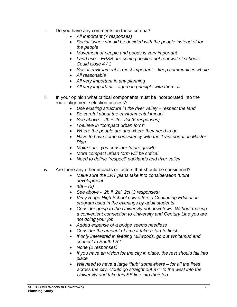- ii. Do you have any comments on these criteria?
	- *All important (7 responses)*
	- *Social issues should be decided with the people instead of for the people*
	- *Movement of people and goods is very important*
	- *Land use EPSB are seeing decline not renewal of schools. Could close 4 / 1*
	- *Social environment is most important keep communities whole*
	- *All reasonable*
	- *All very important in any planning*
	- *All very important agree in principle with them all*
- iii. In your opinion what critical components must be incorporated into the route alignment selection process?
	- *Use existing structure in the river valley respect the land*
	- *Be careful about the environmental impact*
	- *See above 2b ii, 2ei, 2ci (6 responses)*
	- *I believe in "compact urban form"*
	- *Where the people are and where they need to go*
	- *Have to have some consistency with the Transportation Master Plan*
	- *Make sure you consider future growth*
	- *More compact urban form will be critical*
	- *Need to define "respect" parklands and river valley*
- iv. Are there any other impacts or factors that should be considered?
	- *Make sure the LRT plans take into consideration future development*
	- $n/a (3)$
	- *See above 2b ii, 2ei, 2ci (3 responses)*
	- *Vimy Ridge High School now offers a Continuing Education program used in the evenings by adult students*
	- *Consider going to the University not downtown. Without making a convenient connection to University and Century Line you are not doing your job.*
	- *Added expense of a bridge seems needless*
	- *Consider the amount of time it takes start to finish*
	- *If only interested in feeding Millwoods, go out Whitemud and connect to South LRT*
	- *None (2 responses)*
	- *If you have an vision for the city in place, the rest should fall into place*
	- *Will need to have a large "hub" somewhere for all the lines across the city. Could go straight out 87th to the west into the University and take this SE line into their too.*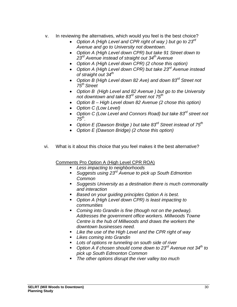- v. In reviewing the alternatives, which would you feel is the best choice?
	- *Option A (High Level and CPR right of way ) but go to 23rd Avenue and go to University not downtown.*
	- *Option A (High Level down CPR) but take 91 Street down to 23rd Avenue instead of straight out 34th Avenue*
	- *Option A (High Level down CPR) (2 chose this option)*
	- *Option A (High Level down CPR) but take 23rd Avenue instead of straight out 34th*
	- *Option B (High Level down 82 Ave) and down 83rd Street not 75th Street*
	- *Option B (High Level and 82 Avenue ) but go to the University not downtown and take 83rd street not 75th*
	- *Option B High Level down 82 Avenue (2 chose this option)*
	- *Option C (Low Level)*
	- *Option C (Low Level and Connors Road) but take 83rd street not 75th.*
	- *Option E (Dawson Bridge ) but take 83rd Street instead of 75th*
	- *Option E (Dawson Bridge) (2 chose this option)*
- vi. What is it about this choice that you feel makes it the best alternative?

Comments Pro Option A (High Level CPR ROA)

- *Less impacting to neighborhoods*
- *Suggests using 23rd Avenue to pick up South Edmonton Common*
- *Suggests University as a destination there is much commonality and interaction*
- *Based on your guiding principles Option A is best.*
- *Option A (High Level down CPR) is least impacting to communities*
- *Coming into Grandin is fine (though not on the pedway). Addresses the government office workers. Millwoods Towne Centre is the hub of Millwoods and draws the workers the downtown businesses need.*
- *Like the use of the High Level and the CPR right of way*
- *Likes coming into Grandin*
- *Lots of options re tunneling on south side of river*
- Option A if chosen should come down to 23<sup>rd</sup> Avenue not 34<sup>th</sup> to *pick up South Edmonton Common*
- *The other options disrupt the river valley too much*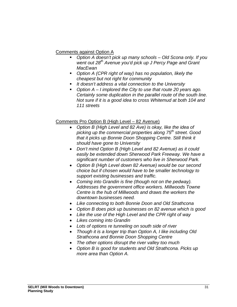Comments against Option A

- *Option A doesn't pick up many schools Old Scona only. If you*  went out 28<sup>th</sup> Avenue you'd pick up J Percy Page and Grant *MacEwan*
- *Option A (CPR right of way) has no population, likely the cheapest but not right for community*
- *It doesn't address a vital connection to the University*
- *Option A I implored the City to use that route 20 years ago. Certainly some duplication in the parallel route of the south line. Not sure if it is a good idea to cross Whitemud at both 104 and 111 streets*

# Comments Pro Option B (High Level – 82 Avenue)

- *Option B (High Level and 82 Ave) is okay, like the idea of picking up the commercial properties along 75th street. Good that it picks up Bonnie Doon Shopping Centre. Still think it should have gone to University*
- *Don't mind Option B (High Level and 82 Avenue) as it could easily be extended down Sherwood Park Freeway. We have a significant number of customers who live in Sherwood Park.*
- *Option B (High Level down 82 Avenue) would be our second choice but if chosen would have to be smaller technology to support existing businesses and traffic.*
- *Coming into Grandin is fine (though not on the pedway). Addresses the government office workers. Millwoods Towne Centre is the hub of Millwoods and draws the workers the downtown businesses need.*
- *Like connecting to both Bonnie Doon and Old Strathcona*
- *Option B does pick up businesses on 82 avenue which is good*
- *Like the use of the High Level and the CPR right of way*
- *Likes coming into Grandin*
- *Lots of options re tunneling on south side of river*
- *Though it is a longer trip than Option A, I like including Old Strathcona and Bonnie Doon Shopping Centre*
- *The other options disrupt the river valley too much*
- *Option B is good for students and Old Strathcona. Picks up more area than Option A.*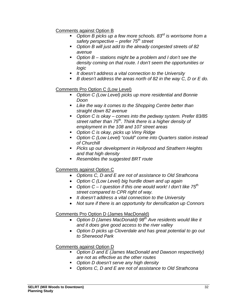## Comments against Option B

- *Option B picks up a few more schools. 83rd is worrisome from a safety perspective – prefer 75th street*
- *Option B will just add to the already congested streets of 82 avenue*
- *Option B stations might be a problem and I don't see the density coming on that route. I don't seem the opportunities or logic*
- *It doesn't address a vital connection to the University*
- *B doesn't address the areas north of 82 in the way C, D or E do.*

# Comments Pro Option C (Low Level)

- *Option C (Low Level) picks up more residential and Bonnie Doon*
- *Like the way it comes to the Shopping Centre better than straight down 82 avenue*
- *Option C is okay comes into the pedway system. Prefer 83/85 street rather than 75th. Think there is a higher density of employment in the 108 and 107 street areas*
- *Option C is okay, picks up Vimy Ridge*
- *Option C (Low Level) "could" come into Quarters station instead of Churchill*
- *Picks up our development in Hollyrood and Strathern Heights and that high density*
- *Resembles the suggested BRT route*

# Comments against Option C

- *Options C, D and E are not of assistance to Old Strathcona*
- *Option C (Low Level) big hurdle down and up again*
- *Option C I question if this one would work! I don't like 75th street compared to CPR right of way.*
- *It doesn't address a vital connection to the University*
- *Not sure if there is an opportunity for densification up Connors*

# Comments Pro Option D (James MacDonald)

- Option D (James MacDonald) 98<sup>th</sup> Ave residents would like it *and it does give good access to the river valley*
- *Option D picks up Cloverdale and has great potential to go out to Sherwood Park*

# Comments against Option D

- *Option D and E (James MacDonald and Dawson respectively) are not as effective as the other routes*
- *Option D doesn't serve any high density*
- *Options C, D and E are not of assistance to Old Strathcona*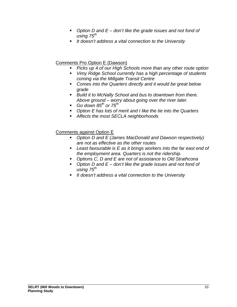- *Option D and E don't like the grade issues and not fond of using 75th*
- *It doesn't address a vital connection to the University*

# Comments Pro Option E (Dawson)

- *Picks up 4 of our High Schools more than any other route option*
- *Vimy Ridge School currently has a high percentage of students coming via the Millgate Transit Centre*
- *Comes into the Quarters directly and it would be great below grade*
- *Build it to McNally School and bus to downtown from there. Above ground – worry about going over the river later.*
- $\blacksquare$  Go down 85<sup>th</sup> or 75<sup>th</sup>
- *Option E has lots of merit and I like the tie into the Quarters*
- *Affects the most SECLA neighborhoods*

Comments against Option E

- *Option D and E (James MacDonald and Dawson respectively) are not as effective as the other routes*
- *Least favourable is E as it brings workers into the far east end of the employment area. Quarters is not the ridership.*
- *Options C, D and E are not of assistance to Old Strathcona*
- *Option D and E don't like the grade issues and not fond of using 75th*
- *It doesn't address a vital connection to the University*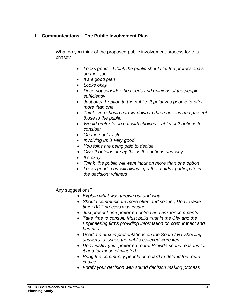# **f. Communications – The Public Involvement Plan**

- i. What do you think of the proposed public involvement process for this phase?
	- *Looks good I think the public should let the professionals do their job*
	- *It's a good plan*
	- *Looks okay*
	- *Does not consider the needs and opinions of the people sufficiently*
	- *Just offer 1 option to the public. It polarizes people to offer more than one*
	- *Think you should narrow down to three options and present those to the public*
	- *Would prefer to do out with choices at least 2 options to consider*
	- *On the right track*
	- *Involving us is very good*
	- *You folks are being paid to decide*
	- *Give 2 options or say this is the options and why*
	- *It's okay*
	- *Think the public will want input on more than one option*
	- *Looks good. You will always get the "I didn't participate in the decision" whiners*
- ii. Any suggestions?
	- *Explain what was thrown out and why*
	- *Should communicate more often and sooner; Don't waste time; BRT process was insane*
	- *Just present one preferred option and ask for comments*
	- *Take time to consult. Must build trust in the City and the Engineering firms providing information on cost, impact and benefits*
	- *Used a matrix in presentations on the South LRT showing answers to issues the public believed were key*
	- *Don't justify your preferred route. Provide sound reasons for it and for those eliminated*
	- *Bring the community people on board to defend the route choice*
	- *Fortify your decision with sound decision making process*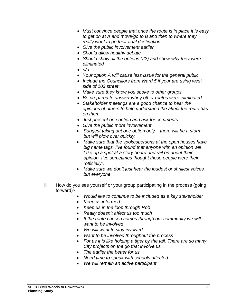- *Must convince people that once the route is in place it is easy to get on at A and move/go to B and then to where they really want to go their final destination*
- *Give the public involvement earlier*
- *Should allow healthy debate*
- *Should show all the options (22) and show why they were eliminated*
- *n/a*
- *Your option A will cause less issue for the general public*
- *Include the Councillors from Ward 5 if your are using west side of 103 street*
- *Make sure they know you spoke to other groups*
- *Be prepared to answer whey other routes were eliminated*
- *Stakeholder meetings are a good chance to hear the opinions of others to help understand the affect the route has on them*
- *Just present one option and ask for comments*
- *Give the public more involvement*
- *Suggest taking out one option only there will be a storm but will blow over quickly.*
- *Make sure that the spokespersons at the open houses have big name tags. I've found that anyone with an opinion will take up a spot at a story board and rail on about their opinion. I've sometimes thought those people were their "officially".*
- *Make sure we don't just hear the loudest or shrillest voices but everyone*
- iii. How do you see yourself or your group participating in the process (going forward)?
	- *Would like to continue to be included as a key stakeholder*
	- *Keep us informed*
	- *Keep us in the loop through Rob*
	- *Really doesn't affect us too much*
	- *If the route chosen comes through our community we will want to be involved*
	- *We will want to stay involved*
	- *Want to be involved throughout the process*
	- *For us it is like holding a tiger by the tail. There are so many City projects on the go that involve us*
	- *The earlier the better for us*
	- *Need time to speak with schools affected*
	- *We will remain an active participant*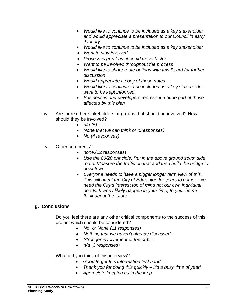- *Would like to continue to be included as a key stakeholder and would appreciate a presentation to our Council in early January*
- *Would like to continue to be included as a key stakeholder*
- *Want to stay involved*
- *Process is great but it could move faster*
- *Want to be involved throughout the process*
- *Would like to share route options with this Board for further discussion*
- *Would appreciate a copy of these notes*
- *Would like to continue to be included as a key stakeholder want to be kept informed.*
- *Businesses and developers represent a huge part of those affected by this plan*
- iv. Are there other stakeholders or groups that should be involved? How should they be involved?
	- *n/a (5)*
	- *None that we can think of (5responses)*
	- *No (4 responses)*
- v. Other comments?
	- *none.*(12 responses)
	- *Use the 80/20 principle. Put in the above ground south side route. Measure the traffic on that and then build the bridge to downtown*
	- *Everyone needs to have a bigger longer term view of this. This will affect the City of Edmonton for years to come – we need the City's interest top of mind not our own individual needs. It won't likely happen in your time, to your home – think about the future*

# **g. Conclusions**

- i. Do you feel there are any other critical components to the success of this project which should be considered?
	- *No or None (11 responses)*
	- *Nothing that we haven't already discussed*
	- *Stronger involvement of the public*
	- *n/a (3 responses)*
- ii. What did you think of this interview?
	- *Good to get this information first hand*
	- *Thank you for doing this quickly it's a busy time of year!*
	- *Appreciate keeping us in the loop*